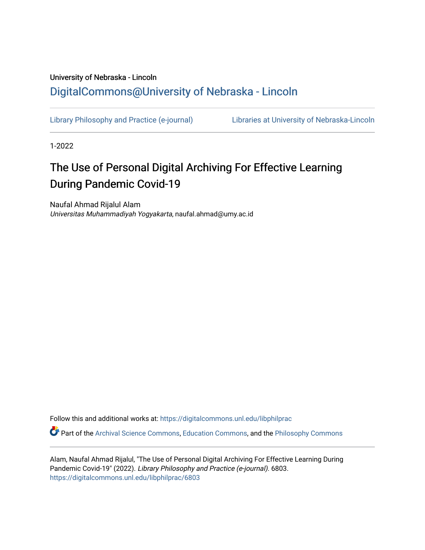## University of Nebraska - Lincoln [DigitalCommons@University of Nebraska - Lincoln](https://digitalcommons.unl.edu/)

[Library Philosophy and Practice \(e-journal\)](https://digitalcommons.unl.edu/libphilprac) [Libraries at University of Nebraska-Lincoln](https://digitalcommons.unl.edu/libraries) 

1-2022

# The Use of Personal Digital Archiving For Effective Learning During Pandemic Covid-19

Naufal Ahmad Rijalul Alam Universitas Muhammadiyah Yogyakarta, naufal.ahmad@umy.ac.id

Follow this and additional works at: [https://digitalcommons.unl.edu/libphilprac](https://digitalcommons.unl.edu/libphilprac?utm_source=digitalcommons.unl.edu%2Flibphilprac%2F6803&utm_medium=PDF&utm_campaign=PDFCoverPages) 

Part of the [Archival Science Commons,](http://network.bepress.com/hgg/discipline/1021?utm_source=digitalcommons.unl.edu%2Flibphilprac%2F6803&utm_medium=PDF&utm_campaign=PDFCoverPages) [Education Commons](http://network.bepress.com/hgg/discipline/784?utm_source=digitalcommons.unl.edu%2Flibphilprac%2F6803&utm_medium=PDF&utm_campaign=PDFCoverPages), and the [Philosophy Commons](http://network.bepress.com/hgg/discipline/525?utm_source=digitalcommons.unl.edu%2Flibphilprac%2F6803&utm_medium=PDF&utm_campaign=PDFCoverPages) 

Alam, Naufal Ahmad Rijalul, "The Use of Personal Digital Archiving For Effective Learning During Pandemic Covid-19" (2022). Library Philosophy and Practice (e-journal). 6803. [https://digitalcommons.unl.edu/libphilprac/6803](https://digitalcommons.unl.edu/libphilprac/6803?utm_source=digitalcommons.unl.edu%2Flibphilprac%2F6803&utm_medium=PDF&utm_campaign=PDFCoverPages)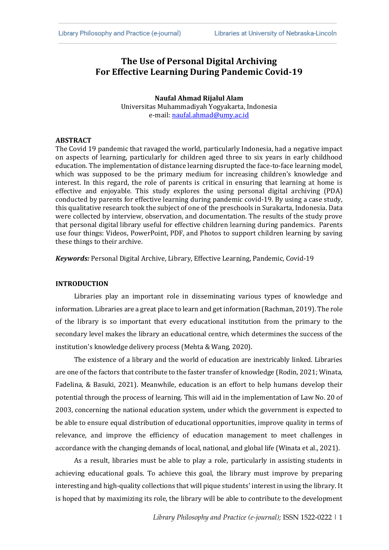### **The Use of Personal Digital Archiving For Effective Learning During Pandemic Covid-19**

**Naufal Ahmad Rijalul Alam** Universitas Muhammadiyah Yogyakarta, Indonesia e-mail: [naufal.ahmad@umy.ac.id](mailto:naufal.ahmad@umy.ac.id)

#### **ABSTRACT**

The Covid 19 pandemic that ravaged the world, particularly Indonesia, had a negative impact on aspects of learning, particularly for children aged three to six years in early childhood education. The implementation of distance learning disrupted the face-to-face learning model, which was supposed to be the primary medium for increasing children's knowledge and interest. In this regard, the role of parents is critical in ensuring that learning at home is effective and enjoyable. This study explores the using personal digital archiving (PDA) conducted by parents for effective learning during pandemic covid-19. By using a case study, this qualitative research took the subject of one of the preschools in Surakarta, Indonesia. Data were collected by interview, observation, and documentation. The results of the study prove that personal digital library useful for effective children learning during pandemics. Parents use four things: Videos, PowerPoint, PDF, and Photos to support children learning by saving these things to their archive.

*Keywords:* Personal Digital Archive, Library, Effective Learning, Pandemic, Covid-19

#### **INTRODUCTION**

Libraries play an important role in disseminating various types of knowledge and information. Libraries are a great place to learn and get information (Rachman, 2019). The role of the library is so important that every educational institution from the primary to the secondary level makes the library an educational centre, which determines the success of the institution's knowledge delivery process (Mehta & Wang, 2020).

The existence of a library and the world of education are inextricably linked. Libraries are one of the factors that contribute to the faster transfer of knowledge (Rodin, 2021; Winata, Fadelina, & Basuki, 2021). Meanwhile, education is an effort to help humans develop their potential through the process of learning. This will aid in the implementation of Law No. 20 of 2003, concerning the national education system, under which the government is expected to be able to ensure equal distribution of educational opportunities, improve quality in terms of relevance, and improve the efficiency of education management to meet challenges in accordance with the changing demands of local, national, and global life (Winata et al., 2021).

As a result, libraries must be able to play a role, particularly in assisting students in achieving educational goals. To achieve this goal, the library must improve by preparing interesting and high-quality collections that will pique students' interest in using the library. It is hoped that by maximizing its role, the library will be able to contribute to the development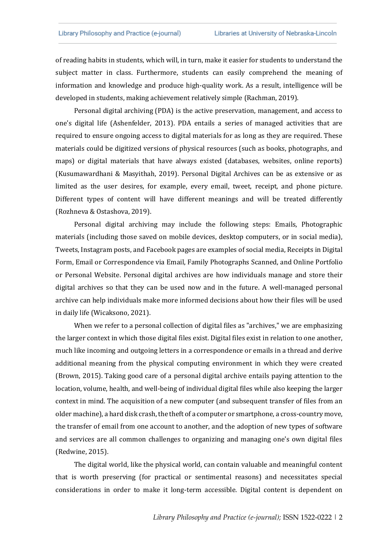of reading habits in students, which will, in turn, make it easier for students to understand the subject matter in class. Furthermore, students can easily comprehend the meaning of information and knowledge and produce high-quality work. As a result, intelligence will be developed in students, making achievement relatively simple (Rachman, 2019).

Personal digital archiving (PDA) is the active preservation, management, and access to one's digital life (Ashenfelder, 2013). PDA entails a series of managed activities that are required to ensure ongoing access to digital materials for as long as they are required. These materials could be digitized versions of physical resources (such as books, photographs, and maps) or digital materials that have always existed (databases, websites, online reports) (Kusumawardhani & Masyithah, 2019). Personal Digital Archives can be as extensive or as limited as the user desires, for example, every email, tweet, receipt, and phone picture. Different types of content will have different meanings and will be treated differently (Rozhneva & Ostashova, 2019).

Personal digital archiving may include the following steps: Emails, Photographic materials (including those saved on mobile devices, desktop computers, or in social media), Tweets, Instagram posts, and Facebook pages are examples of social media, Receipts in Digital Form, Email or Correspondence via Email, Family Photographs Scanned, and Online Portfolio or Personal Website. Personal digital archives are how individuals manage and store their digital archives so that they can be used now and in the future. A well-managed personal archive can help individuals make more informed decisions about how their files will be used in daily life (Wicaksono, 2021).

When we refer to a personal collection of digital files as "archives," we are emphasizing the larger context in which those digital files exist. Digital files exist in relation to one another, much like incoming and outgoing letters in a correspondence or emails in a thread and derive additional meaning from the physical computing environment in which they were created (Brown, 2015). Taking good care of a personal digital archive entails paying attention to the location, volume, health, and well-being of individual digital files while also keeping the larger context in mind. The acquisition of a new computer (and subsequent transfer of files from an older machine), a hard disk crash, the theft of a computer or smartphone, a cross-country move, the transfer of email from one account to another, and the adoption of new types of software and services are all common challenges to organizing and managing one's own digital files (Redwine, 2015).

The digital world, like the physical world, can contain valuable and meaningful content that is worth preserving (for practical or sentimental reasons) and necessitates special considerations in order to make it long-term accessible. Digital content is dependent on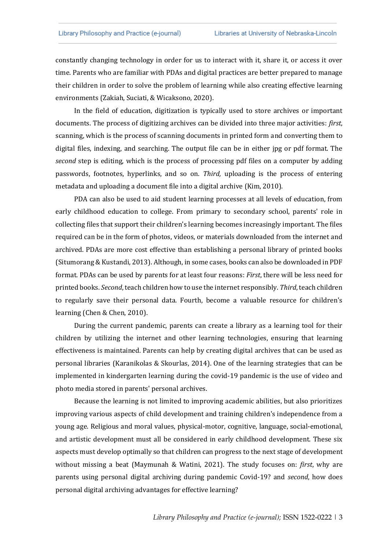constantly changing technology in order for us to interact with it, share it, or access it over time. Parents who are familiar with PDAs and digital practices are better prepared to manage their children in order to solve the problem of learning while also creating effective learning environments (Zakiah, Suciati, & Wicaksono, 2020).

In the field of education, digitization is typically used to store archives or important documents. The process of digitizing archives can be divided into three major activities: *first*, scanning, which is the process of scanning documents in printed form and converting them to digital files, indexing, and searching. The output file can be in either jpg or pdf format. The *second* step is editing, which is the process of processing pdf files on a computer by adding passwords, footnotes, hyperlinks, and so on. *Third,* uploading is the process of entering metadata and uploading a document file into a digital archive (Kim, 2010).

PDA can also be used to aid student learning processes at all levels of education, from early childhood education to college. From primary to secondary school, parents' role in collecting files that support their children's learning becomes increasingly important. The files required can be in the form of photos, videos, or materials downloaded from the internet and archived. PDAs are more cost effective than establishing a personal library of printed books (Situmorang & Kustandi, 2013). Although, in some cases, books can also be downloaded in PDF format. PDAs can be used by parents for at least four reasons: *First*, there will be less need for printed books. *Second*, teach children how to use the internet responsibly. *Third*, teach children to regularly save their personal data. Fourth, become a valuable resource for children's learning (Chen & Chen, 2010).

During the current pandemic, parents can create a library as a learning tool for their children by utilizing the internet and other learning technologies, ensuring that learning effectiveness is maintained. Parents can help by creating digital archives that can be used as personal libraries (Karanikolas & Skourlas, 2014). One of the learning strategies that can be implemented in kindergarten learning during the covid-19 pandemic is the use of video and photo media stored in parents' personal archives.

Because the learning is not limited to improving academic abilities, but also prioritizes improving various aspects of child development and training children's independence from a young age. Religious and moral values, physical-motor, cognitive, language, social-emotional, and artistic development must all be considered in early childhood development. These six aspects must develop optimally so that children can progress to the next stage of development without missing a beat (Maymunah & Watini, 2021). The study focuses on: *first*, why are parents using personal digital archiving during pandemic Covid-19? and *second*, how does personal digital archiving advantages for effective learning?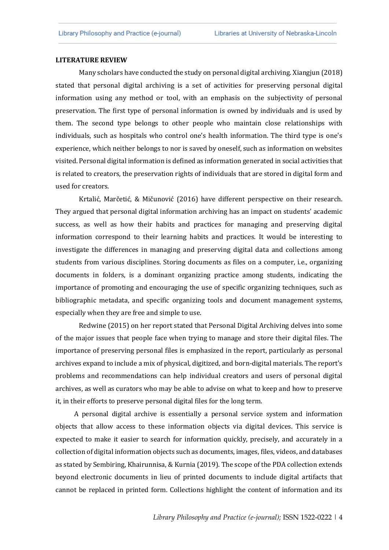#### **LITERATURE REVIEW**

Many scholars have conducted the study on personal digital archiving. Xiangjun (2018) stated that personal digital archiving is a set of activities for preserving personal digital information using any method or tool, with an emphasis on the subjectivity of personal preservation. The first type of personal information is owned by individuals and is used by them. The second type belongs to other people who maintain close relationships with individuals, such as hospitals who control one's health information. The third type is one's experience, which neither belongs to nor is saved by oneself, such as information on websites visited. Personal digital information is defined as information generated in social activities that is related to creators, the preservation rights of individuals that are stored in digital form and used for creators.

Krtalić, Marčetić, & Mičunović (2016) have different perspective on their research. They argued that personal digital information archiving has an impact on students' academic success, as well as how their habits and practices for managing and preserving digital information correspond to their learning habits and practices. It would be interesting to investigate the differences in managing and preserving digital data and collections among students from various disciplines. Storing documents as files on a computer, i.e., organizing documents in folders, is a dominant organizing practice among students, indicating the importance of promoting and encouraging the use of specific organizing techniques, such as bibliographic metadata, and specific organizing tools and document management systems, especially when they are free and simple to use.

Redwine (2015) on her report stated that Personal Digital Archiving delves into some of the major issues that people face when trying to manage and store their digital files. The importance of preserving personal files is emphasized in the report, particularly as personal archives expand to include a mix of physical, digitized, and born-digital materials. The report's problems and recommendations can help individual creators and users of personal digital archives, as well as curators who may be able to advise on what to keep and how to preserve it, in their efforts to preserve personal digital files for the long term.

A personal digital archive is essentially a personal service system and information objects that allow access to these information objects via digital devices. This service is expected to make it easier to search for information quickly, precisely, and accurately in a collection of digital information objects such as documents, images, files, videos, and databases as stated by Sembiring, Khairunnisa, & Kurnia (2019). The scope of the PDA collection extends beyond electronic documents in lieu of printed documents to include digital artifacts that cannot be replaced in printed form. Collections highlight the content of information and its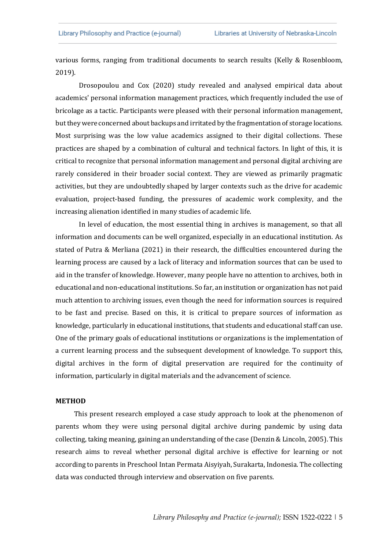various forms, ranging from traditional documents to search results (Kelly & Rosenbloom, 2019).

Drosopoulou and Cox (2020) study revealed and analysed empirical data about academics' personal information management practices, which frequently included the use of bricolage as a tactic. Participants were pleased with their personal information management, but they were concerned about backups and irritated by the fragmentation of storage locations. Most surprising was the low value academics assigned to their digital collections. These practices are shaped by a combination of cultural and technical factors. In light of this, it is critical to recognize that personal information management and personal digital archiving are rarely considered in their broader social context. They are viewed as primarily pragmatic activities, but they are undoubtedly shaped by larger contexts such as the drive for academic evaluation, project-based funding, the pressures of academic work complexity, and the increasing alienation identified in many studies of academic life.

In level of education, the most essential thing in archives is management, so that all information and documents can be well organized, especially in an educational institution. As stated of Putra & Merliana (2021) in their research, the difficulties encountered during the learning process are caused by a lack of literacy and information sources that can be used to aid in the transfer of knowledge. However, many people have no attention to archives, both in educational and non-educational institutions. So far, an institution or organization has not paid much attention to archiving issues, even though the need for information sources is required to be fast and precise. Based on this, it is critical to prepare sources of information as knowledge, particularly in educational institutions, that students and educational staff can use. One of the primary goals of educational institutions or organizations is the implementation of a current learning process and the subsequent development of knowledge. To support this, digital archives in the form of digital preservation are required for the continuity of information, particularly in digital materials and the advancement of science.

#### **METHOD**

This present research employed a case study approach to look at the phenomenon of parents whom they were using personal digital archive during pandemic by using data collecting, taking meaning, gaining an understanding of the case (Denzin & Lincoln, 2005). This research aims to reveal whether personal digital archive is effective for learning or not according to parents in Preschool Intan Permata Aisyiyah, Surakarta, Indonesia. The collecting data was conducted through interview and observation on five parents.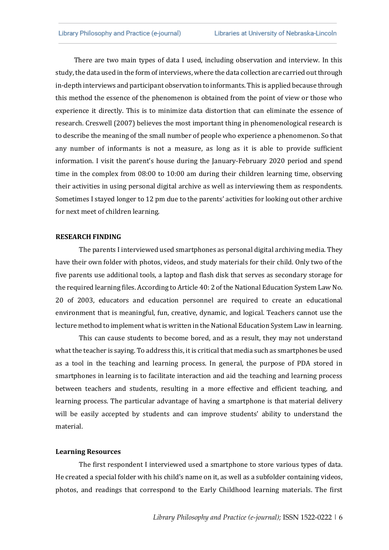There are two main types of data I used, including observation and interview. In this study, the data used in the form of interviews, where the data collection are carried out through in-depth interviews and participant observation to informants. This is applied because through this method the essence of the phenomenon is obtained from the point of view or those who experience it directly. This is to minimize data distortion that can eliminate the essence of research. Creswell (2007) believes the most important thing in phenomenological research is to describe the meaning of the small number of people who experience a phenomenon. So that any number of informants is not a measure, as long as it is able to provide sufficient information. I visit the parent's house during the January-February 2020 period and spend time in the complex from 08:00 to 10:00 am during their children learning time, observing their activities in using personal digital archive as well as interviewing them as respondents. Sometimes I stayed longer to 12 pm due to the parents' activities for looking out other archive for next meet of children learning.

#### **RESEARCH FINDING**

The parents I interviewed used smartphones as personal digital archiving media. They have their own folder with photos, videos, and study materials for their child. Only two of the five parents use additional tools, a laptop and flash disk that serves as secondary storage for the required learning files. According to Article 40: 2 of the National Education System Law No. 20 of 2003, educators and education personnel are required to create an educational environment that is meaningful, fun, creative, dynamic, and logical. Teachers cannot use the lecture method to implement what is written in the National Education System Law in learning.

This can cause students to become bored, and as a result, they may not understand what the teacher is saying. To address this, it is critical that media such as smartphones be used as a tool in the teaching and learning process. In general, the purpose of PDA stored in smartphones in learning is to facilitate interaction and aid the teaching and learning process between teachers and students, resulting in a more effective and efficient teaching, and learning process. The particular advantage of having a smartphone is that material delivery will be easily accepted by students and can improve students' ability to understand the material.

#### **Learning Resources**

The first respondent I interviewed used a smartphone to store various types of data. He created a special folder with his child's name on it, as well as a subfolder containing videos, photos, and readings that correspond to the Early Childhood learning materials. The first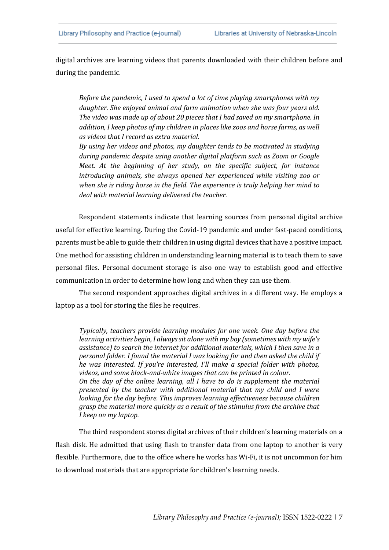digital archives are learning videos that parents downloaded with their children before and during the pandemic.

*Before the pandemic, I used to spend a lot of time playing smartphones with my daughter. She enjoyed animal and farm animation when she was four years old. The video was made up of about 20 pieces that I had saved on my smartphone. In addition, I keep photos of my children in places like zoos and horse farms, as well as videos that I record as extra material.*

*By using her videos and photos, my daughter tends to be motivated in studying during pandemic despite using another digital platform such as Zoom or Google Meet. At the beginning of her study, on the specific subject, for instance introducing animals, she always opened her experienced while visiting zoo or when she is riding horse in the field. The experience is truly helping her mind to deal with material learning delivered the teacher.* 

Respondent statements indicate that learning sources from personal digital archive useful for effective learning. During the Covid-19 pandemic and under fast-paced conditions, parents must be able to guide their children in using digital devices that have a positive impact. One method for assisting children in understanding learning material is to teach them to save personal files. Personal document storage is also one way to establish good and effective communication in order to determine how long and when they can use them.

The second respondent approaches digital archives in a different way. He employs a laptop as a tool for storing the files he requires.

*Typically, teachers provide learning modules for one week. One day before the learning activities begin, I always sit alone with my boy (sometimes with my wife's assistance) to search the internet for additional materials, which I then save in a personal folder. I found the material I was looking for and then asked the child if he was interested. If you're interested, I'll make a special folder with photos, videos, and some black-and-white images that can be printed in colour. On the day of the online learning, all I have to do is supplement the material presented by the teacher with additional material that my child and I were looking for the day before. This improves learning effectiveness because children grasp the material more quickly as a result of the stimulus from the archive that I keep on my laptop.*

The third respondent stores digital archives of their children's learning materials on a flash disk. He admitted that using flash to transfer data from one laptop to another is very flexible. Furthermore, due to the office where he works has Wi-Fi, it is not uncommon for him to download materials that are appropriate for children's learning needs.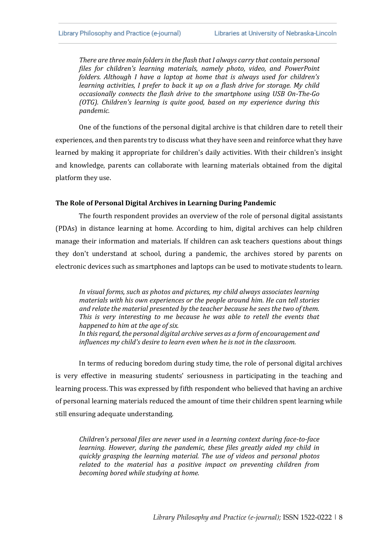*There are three main folders in the flash that I always carry that contain personal files for children's learning materials, namely photo, video, and PowerPoint folders. Although I have a laptop at home that is always used for children's learning activities, I prefer to back it up on a flash drive for storage. My child occasionally connects the flash drive to the smartphone using USB On-The-Go (OTG). Children's learning is quite good, based on my experience during this pandemic.*

One of the functions of the personal digital archive is that children dare to retell their experiences, and then parents try to discuss what they have seen and reinforce what they have learned by making it appropriate for children's daily activities. With their children's insight and knowledge, parents can collaborate with learning materials obtained from the digital platform they use.

#### **The Role of Personal Digital Archives in Learning During Pandemic**

The fourth respondent provides an overview of the role of personal digital assistants (PDAs) in distance learning at home. According to him, digital archives can help children manage their information and materials. If children can ask teachers questions about things they don't understand at school, during a pandemic, the archives stored by parents on electronic devices such as smartphones and laptops can be used to motivate students to learn.

*In visual forms, such as photos and pictures, my child always associates learning materials with his own experiences or the people around him. He can tell stories and relate the material presented by the teacher because he sees the two of them. This is very interesting to me because he was able to retell the events that happened to him at the age of six. In this regard, the personal digital archive serves as a form of encouragement and influences my child's desire to learn even when he is not in the classroom.*

In terms of reducing boredom during study time, the role of personal digital archives is very effective in measuring students' seriousness in participating in the teaching and learning process. This was expressed by fifth respondent who believed that having an archive of personal learning materials reduced the amount of time their children spent learning while still ensuring adequate understanding.

*Children's personal files are never used in a learning context during face-to-face learning. However, during the pandemic, these files greatly aided my child in quickly grasping the learning material. The use of videos and personal photos related to the material has a positive impact on preventing children from becoming bored while studying at home.*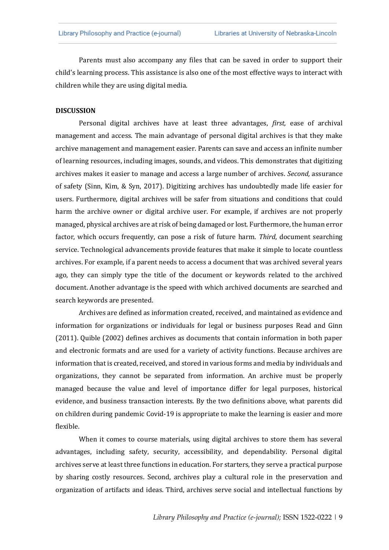Parents must also accompany any files that can be saved in order to support their child's learning process. This assistance is also one of the most effective ways to interact with children while they are using digital media.

#### **DISCUSSION**

Personal digital archives have at least three advantages, *first,* ease of archival management and access. The main advantage of personal digital archives is that they make archive management and management easier. Parents can save and access an infinite number of learning resources, including images, sounds, and videos. This demonstrates that digitizing archives makes it easier to manage and access a large number of archives. *Second,* assurance of safety (Sinn, Kim, & Syn, 2017). Digitizing archives has undoubtedly made life easier for users. Furthermore, digital archives will be safer from situations and conditions that could harm the archive owner or digital archive user. For example, if archives are not properly managed, physical archives are at risk of being damaged or lost. Furthermore, the human error factor, which occurs frequently, can pose a risk of future harm. *Third*, document searching service. Technological advancements provide features that make it simple to locate countless archives. For example, if a parent needs to access a document that was archived several years ago, they can simply type the title of the document or keywords related to the archived document. Another advantage is the speed with which archived documents are searched and search keywords are presented.

Archives are defined as information created, received, and maintained as evidence and information for organizations or individuals for legal or business purposes Read and Ginn (2011). Quible (2002) defines archives as documents that contain information in both paper and electronic formats and are used for a variety of activity functions. Because archives are information that is created, received, and stored in various forms and media by individuals and organizations, they cannot be separated from information. An archive must be properly managed because the value and level of importance differ for legal purposes, historical evidence, and business transaction interests. By the two definitions above, what parents did on children during pandemic Covid-19 is appropriate to make the learning is easier and more flexible.

When it comes to course materials, using digital archives to store them has several advantages, including safety, security, accessibility, and dependability. Personal digital archives serve at least three functions in education. For starters, they serve a practical purpose by sharing costly resources. Second, archives play a cultural role in the preservation and organization of artifacts and ideas. Third, archives serve social and intellectual functions by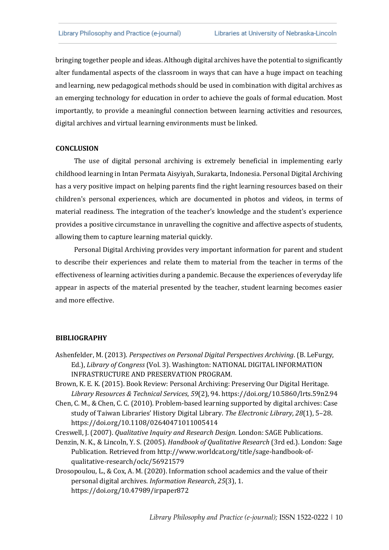bringing together people and ideas. Although digital archives have the potential to significantly alter fundamental aspects of the classroom in ways that can have a huge impact on teaching and learning, new pedagogical methods should be used in combination with digital archives as an emerging technology for education in order to achieve the goals of formal education. Most importantly, to provide a meaningful connection between learning activities and resources, digital archives and virtual learning environments must be linked.

#### **CONCLUSION**

The use of digital personal archiving is extremely beneficial in implementing early childhood learning in Intan Permata Aisyiyah, Surakarta, Indonesia. Personal Digital Archiving has a very positive impact on helping parents find the right learning resources based on their children's personal experiences, which are documented in photos and videos, in terms of material readiness. The integration of the teacher's knowledge and the student's experience provides a positive circumstance in unravelling the cognitive and affective aspects of students, allowing them to capture learning material quickly.

Personal Digital Archiving provides very important information for parent and student to describe their experiences and relate them to material from the teacher in terms of the effectiveness of learning activities during a pandemic. Because the experiences of everyday life appear in aspects of the material presented by the teacher, student learning becomes easier and more effective.

#### **BIBLIOGRAPHY**

- Ashenfelder, M. (2013). *Perspectives on Personal Digital Perspectives Archiving*. (B. LeFurgy, Ed.), *Library of Congress* (Vol. 3). Washington: NATIONAL DIGITAL INFORMATION INFRASTRUCTURE AND PRESERVATION PROGRAM.
- Brown, K. E. K. (2015). Book Review: Personal Archiving: Preserving Our Digital Heritage. *Library Resources & Technical Services*, *59*(2), 94. https://doi.org/10.5860/lrts.59n2.94
- Chen, C. M., & Chen, C. C. (2010). Problem-based learning supported by digital archives: Case study of Taiwan Libraries' History Digital Library. *The Electronic Library*, *28*(1), 5–28. https://doi.org/10.1108/02640471011005414

Creswell, J. (2007). *Qualitative Inquiry and Research Design*. London: SAGE Publications.

Denzin, N. K., & Lincoln, Y. S. (2005). *Handbook of Qualitative Research* (3rd ed.). London: Sage Publication. Retrieved from http://www.worldcat.org/title/sage-handbook-ofqualitative-research/oclc/56921579

Drosopoulou, L., & Cox, A. M. (2020). Information school academics and the value of their personal digital archives. *Information Research*, *25*(3), 1. https://doi.org/10.47989/irpaper872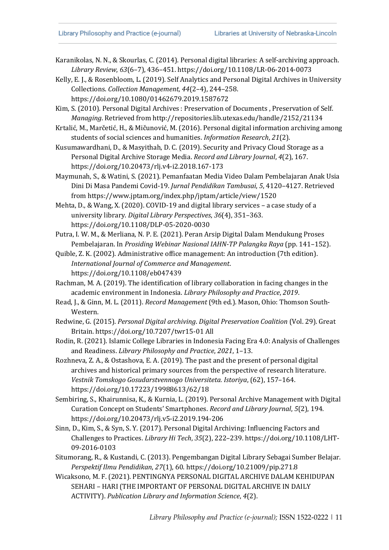- Karanikolas, N. N., & Skourlas, C. (2014). Personal digital libraries: A self-archiving approach. *Library Review*, *63*(6–7), 436–451. https://doi.org/10.1108/LR-06-2014-0073
- Kelly, E. J., & Rosenbloom, L. (2019). Self Analytics and Personal Digital Archives in University Collections. *Collection Management*, *44*(2–4), 244–258. https://doi.org/10.1080/01462679.2019.1587672
- Kim, S. (2010). Personal Digital Archives : Preservation of Documents , Preservation of Self. *Managing*. Retrieved from http://repositories.lib.utexas.edu/handle/2152/21134
- Krtalić, M., Marčetić, H., & Mičunović, M. (2016). Personal digital information archiving among students of social sciences and humanities. *Information Research*, *21*(2).
- Kusumawardhani, D., & Masyithah, D. C. (2019). Security and Privacy Cloud Storage as a Personal Digital Archive Storage Media. *Record and Library Journal*, *4*(2), 167. https://doi.org/10.20473/rlj.v4-i2.2018.167-173
- Maymunah, S., & Watini, S. (2021). Pemanfaatan Media Video Dalam Pembelajaran Anak Usia Dini Di Masa Pandemi Covid-19. *Jurnal Pendidikan Tambusai*, *5*, 4120–4127. Retrieved from https://www.jptam.org/index.php/jptam/article/view/1520
- Mehta, D., & Wang, X. (2020). COVID-19 and digital library services a case study of a university library. *Digital Library Perspectives*, *36*(4), 351–363. https://doi.org/10.1108/DLP-05-2020-0030
- Putra, I. W. M., & Merliana, N. P. E. (2021). Peran Arsip Digital Dalam Mendukung Proses Pembelajaran. In *Prosiding Webinar Nasional IAHN-TP Palangka Raya* (pp. 141–152).
- Quible, Z. K. (2002). Administrative office management: An introduction (7th edition). *International Journal of Commerce and Management*. https://doi.org/10.1108/eb047439
- Rachman, M. A. (2019). The identification of library collaboration in facing changes in the academic environment in Indonesia. *Library Philosophy and Practice*, *2019*.
- Read, J., & Ginn, M. L. (2011). *Record Management* (9th ed.). Mason, Ohio: Thomson South-Western.
- Redwine, G. (2015). *Personal Digital archiving*. *Digital Preservation Coalition* (Vol. 29). Great Britain. https://doi.org/10.7207/twr15-01 All
- Rodin, R. (2021). Islamic College Libraries in Indonesia Facing Era 4.0: Analysis of Challenges and Readiness. *Library Philosophy and Practice*, *2021*, 1–13.
- Rozhneva, Z. A., & Ostashova, E. A. (2019). The past and the present of personal digital archives and historical primary sources from the perspective of research literature. *Vestnik Tomskogo Gosudarstvennogo Universiteta. Istoriya*, (62), 157–164. https://doi.org/10.17223/19988613/62/18
- Sembiring, S., Khairunnisa, K., & Kurnia, L. (2019). Personal Archive Management with Digital Curation Concept on Students' Smartphones. *Record and Library Journal*, *5*(2), 194. https://doi.org/10.20473/rlj.v5-i2.2019.194-206
- Sinn, D., Kim, S., & Syn, S. Y. (2017). Personal Digital Archiving: Influencing Factors and Challenges to Practices. *Library Hi Tech*, *35*(2), 222–239. https://doi.org/10.1108/LHT-09-2016-0103
- Situmorang, R., & Kustandi, C. (2013). Pengembangan Digital Library Sebagai Sumber Belajar. *Perspektif Ilmu Pendidikan*, *27*(1), 60. https://doi.org/10.21009/pip.271.8
- Wicaksono, M. F. (2021). PENTINGNYA PERSONAL DIGITAL ARCHIVE DALAM KEHIDUPAN SEHARI – HARI (THE IMPORTANT OF PERSONAL DIGITAL ARCHIVE IN DAILY ACTIVITY). *Publication Library and Information Science*, *4*(2).